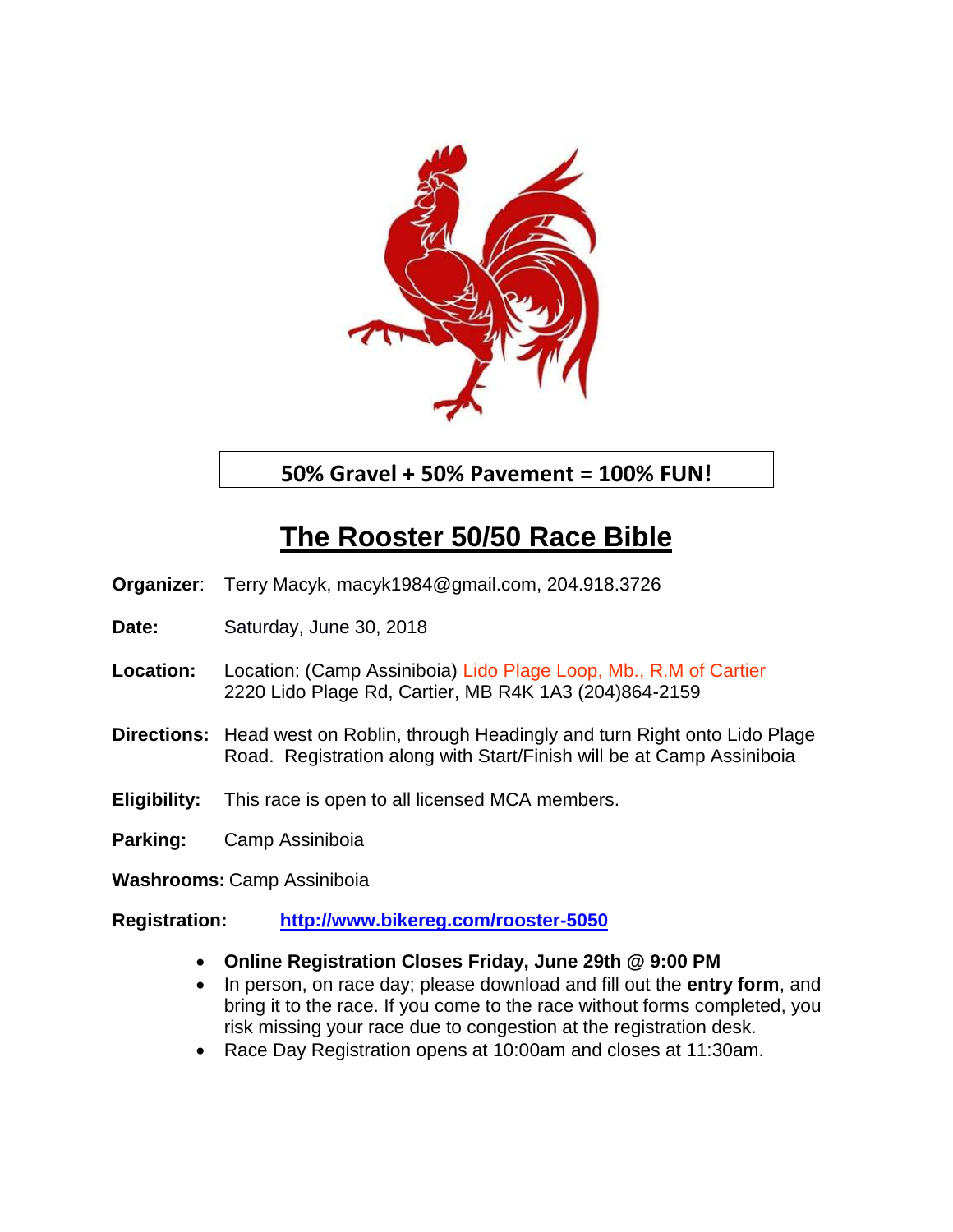

**50% Gravel + 50% Pavement = 100% FUN!**

# **The Rooster 50/50 Race Bible**

**Organizer**: Terry Macyk, macyk1984@gmail.com, 204.918.3726

- **Date:** Saturday, June 30, 2018
- **Location:** Location: (Camp Assiniboia) Lido Plage Loop, Mb., R.M of Cartier 2220 Lido Plage Rd, Cartier, MB R4K 1A3 (204)864-2159
- **Directions:** Head west on Roblin, through Headingly and turn Right onto Lido Plage Road. Registration along with Start/Finish will be at Camp Assiniboia
- **Eligibility:** This race is open to all licensed MCA members.
- **Parking:** Camp Assiniboia

**Washrooms:** Camp Assiniboia

- **Registration: <http://www.bikereg.com/rooster-5050>**
	- **Online Registration Closes Friday, June 29th @ 9:00 PM**
	- In person, on race day; please download and fill out the **entry form**, and bring it to the race. If you come to the race without forms completed, you risk missing your race due to congestion at the registration desk.
	- Race Day Registration opens at 10:00am and closes at 11:30am.